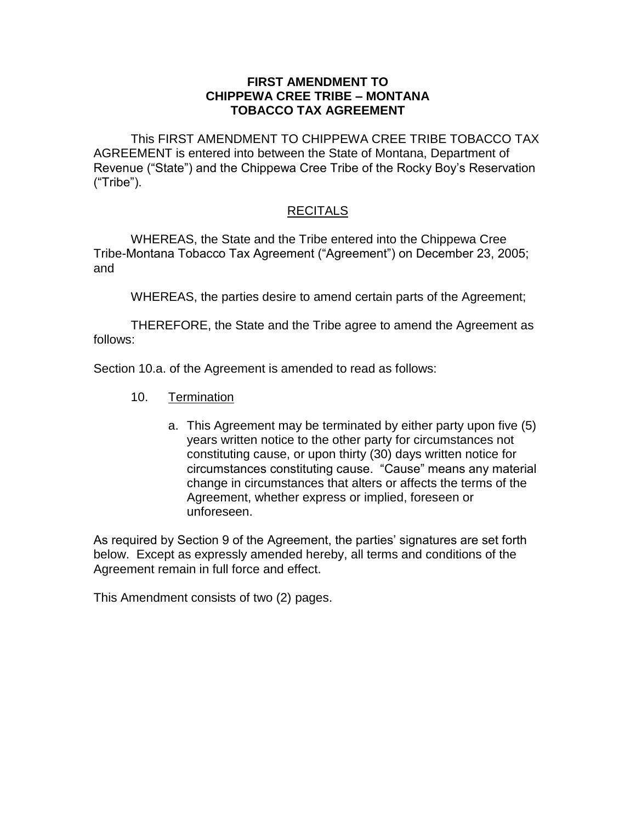## **FIRST AMENDMENT TO CHIPPEWA CREE TRIBE – MONTANA TOBACCO TAX AGREEMENT**

This FIRST AMENDMENT TO CHIPPEWA CREE TRIBE TOBACCO TAX AGREEMENT is entered into between the State of Montana, Department of Revenue ("State") and the Chippewa Cree Tribe of the Rocky Boy's Reservation ("Tribe").

## RECITALS

WHEREAS, the State and the Tribe entered into the Chippewa Cree Tribe-Montana Tobacco Tax Agreement ("Agreement") on December 23, 2005; and

WHEREAS, the parties desire to amend certain parts of the Agreement;

THEREFORE, the State and the Tribe agree to amend the Agreement as follows:

Section 10.a. of the Agreement is amended to read as follows:

- 10. Termination
	- a. This Agreement may be terminated by either party upon five (5) years written notice to the other party for circumstances not constituting cause, or upon thirty (30) days written notice for circumstances constituting cause. "Cause" means any material change in circumstances that alters or affects the terms of the Agreement, whether express or implied, foreseen or unforeseen.

As required by Section 9 of the Agreement, the parties' signatures are set forth below. Except as expressly amended hereby, all terms and conditions of the Agreement remain in full force and effect.

This Amendment consists of two (2) pages.